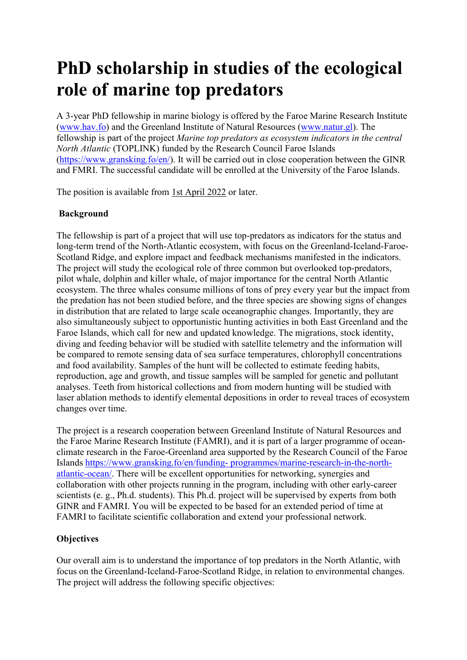# PhD scholarship in studies of the ecological role of marine top predators

A 3-year PhD fellowship in marine biology is offered by the Faroe Marine Research Institute (www.hav.fo) and the Greenland Institute of Natural Resources (www.natur.gl). The fellowship is part of the project Marine top predators as ecosystem indicators in the central North Atlantic (TOPLINK) funded by the Research Council Faroe Islands (https://www.gransking.fo/en/). It will be carried out in close cooperation between the GINR and FMRI. The successful candidate will be enrolled at the University of the Faroe Islands.

The position is available from 1st April 2022 or later.

## Background

The fellowship is part of a project that will use top-predators as indicators for the status and long-term trend of the North-Atlantic ecosystem, with focus on the Greenland-Iceland-Faroe-Scotland Ridge, and explore impact and feedback mechanisms manifested in the indicators. The project will study the ecological role of three common but overlooked top-predators, pilot whale, dolphin and killer whale, of major importance for the central North Atlantic ecosystem. The three whales consume millions of tons of prey every year but the impact from the predation has not been studied before, and the three species are showing signs of changes in distribution that are related to large scale oceanographic changes. Importantly, they are also simultaneously subject to opportunistic hunting activities in both East Greenland and the Faroe Islands, which call for new and updated knowledge. The migrations, stock identity, diving and feeding behavior will be studied with satellite telemetry and the information will be compared to remote sensing data of sea surface temperatures, chlorophyll concentrations and food availability. Samples of the hunt will be collected to estimate feeding habits, reproduction, age and growth, and tissue samples will be sampled for genetic and pollutant analyses. Teeth from historical collections and from modern hunting will be studied with laser ablation methods to identify elemental depositions in order to reveal traces of ecosystem changes over time.

The project is a research cooperation between Greenland Institute of Natural Resources and the Faroe Marine Research Institute (FAMRI), and it is part of a larger programme of oceanclimate research in the Faroe-Greenland area supported by the Research Council of the Faroe Islands https://www.gransking.fo/en/funding- programmes/marine-research-in-the-northatlantic-ocean/. There will be excellent opportunities for networking, synergies and collaboration with other projects running in the program, including with other early-career scientists (e. g., Ph.d. students). This Ph.d. project will be supervised by experts from both GINR and FAMRI. You will be expected to be based for an extended period of time at FAMRI to facilitate scientific collaboration and extend your professional network.

## **Objectives**

Our overall aim is to understand the importance of top predators in the North Atlantic, with focus on the Greenland-Iceland-Faroe-Scotland Ridge, in relation to environmental changes. The project will address the following specific objectives: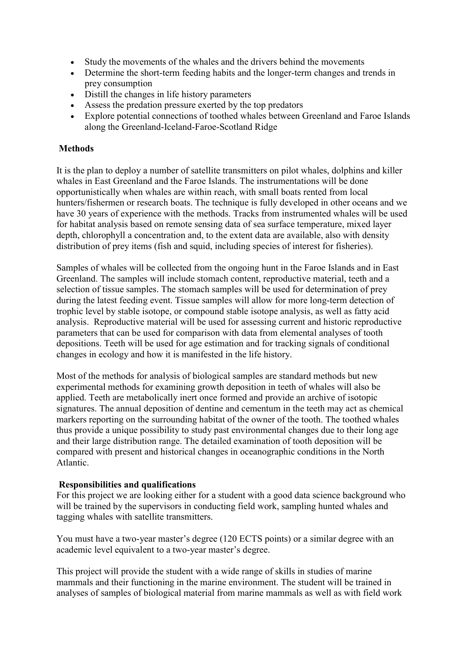- Study the movements of the whales and the drivers behind the movements
- Determine the short-term feeding habits and the longer-term changes and trends in prey consumption
- Distill the changes in life history parameters
- Assess the predation pressure exerted by the top predators
- Explore potential connections of toothed whales between Greenland and Faroe Islands along the Greenland-Iceland-Faroe-Scotland Ridge

## **Methods**

It is the plan to deploy a number of satellite transmitters on pilot whales, dolphins and killer whales in East Greenland and the Faroe Islands. The instrumentations will be done opportunistically when whales are within reach, with small boats rented from local hunters/fishermen or research boats. The technique is fully developed in other oceans and we have 30 years of experience with the methods. Tracks from instrumented whales will be used for habitat analysis based on remote sensing data of sea surface temperature, mixed layer depth, chlorophyll a concentration and, to the extent data are available, also with density distribution of prey items (fish and squid, including species of interest for fisheries).

Samples of whales will be collected from the ongoing hunt in the Faroe Islands and in East Greenland. The samples will include stomach content, reproductive material, teeth and a selection of tissue samples. The stomach samples will be used for determination of prey during the latest feeding event. Tissue samples will allow for more long-term detection of trophic level by stable isotope, or compound stable isotope analysis, as well as fatty acid analysis. Reproductive material will be used for assessing current and historic reproductive parameters that can be used for comparison with data from elemental analyses of tooth depositions. Teeth will be used for age estimation and for tracking signals of conditional changes in ecology and how it is manifested in the life history.

Most of the methods for analysis of biological samples are standard methods but new experimental methods for examining growth deposition in teeth of whales will also be applied. Teeth are metabolically inert once formed and provide an archive of isotopic signatures. The annual deposition of dentine and cementum in the teeth may act as chemical markers reporting on the surrounding habitat of the owner of the tooth. The toothed whales thus provide a unique possibility to study past environmental changes due to their long age and their large distribution range. The detailed examination of tooth deposition will be compared with present and historical changes in oceanographic conditions in the North Atlantic.

#### Responsibilities and qualifications

For this project we are looking either for a student with a good data science background who will be trained by the supervisors in conducting field work, sampling hunted whales and tagging whales with satellite transmitters.

You must have a two-year master's degree (120 ECTS points) or a similar degree with an academic level equivalent to a two-year master's degree.

This project will provide the student with a wide range of skills in studies of marine mammals and their functioning in the marine environment. The student will be trained in analyses of samples of biological material from marine mammals as well as with field work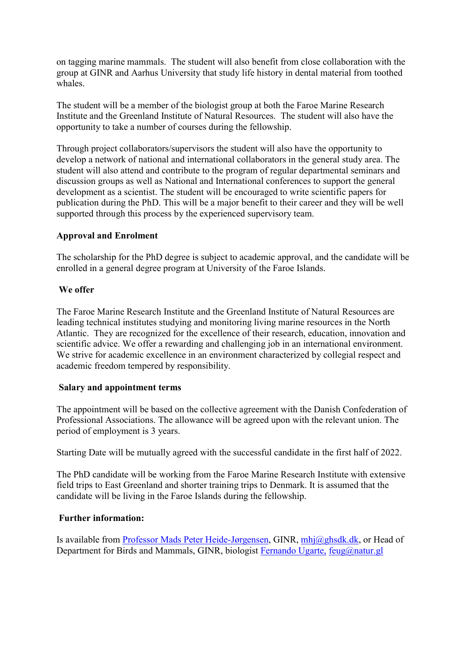on tagging marine mammals. The student will also benefit from close collaboration with the group at GINR and Aarhus University that study life history in dental material from toothed whales.

The student will be a member of the biologist group at both the Faroe Marine Research Institute and the Greenland Institute of Natural Resources. The student will also have the opportunity to take a number of courses during the fellowship.

Through project collaborators/supervisors the student will also have the opportunity to develop a network of national and international collaborators in the general study area. The student will also attend and contribute to the program of regular departmental seminars and discussion groups as well as National and International conferences to support the general development as a scientist. The student will be encouraged to write scientific papers for publication during the PhD. This will be a major benefit to their career and they will be well supported through this process by the experienced supervisory team.

## Approval and Enrolment

The scholarship for the PhD degree is subject to academic approval, and the candidate will be enrolled in a general degree program at University of the Faroe Islands.

#### We offer

The Faroe Marine Research Institute and the Greenland Institute of Natural Resources are leading technical institutes studying and monitoring living marine resources in the North Atlantic. They are recognized for the excellence of their research, education, innovation and scientific advice. We offer a rewarding and challenging job in an international environment. We strive for academic excellence in an environment characterized by collegial respect and academic freedom tempered by responsibility.

#### Salary and appointment terms

The appointment will be based on the collective agreement with the Danish Confederation of Professional Associations. The allowance will be agreed upon with the relevant union. The period of employment is 3 years.

Starting Date will be mutually agreed with the successful candidate in the first half of 2022.

The PhD candidate will be working from the Faroe Marine Research Institute with extensive field trips to East Greenland and shorter training trips to Denmark. It is assumed that the candidate will be living in the Faroe Islands during the fellowship.

#### Further information:

Is available from **Professor Mads Peter Heide-Jørgensen**, GINR, *mhj@ghsdk.dk*, or Head of Department for Birds and Mammals, GINR, biologist Fernando Ugarte, feug@natur.gl